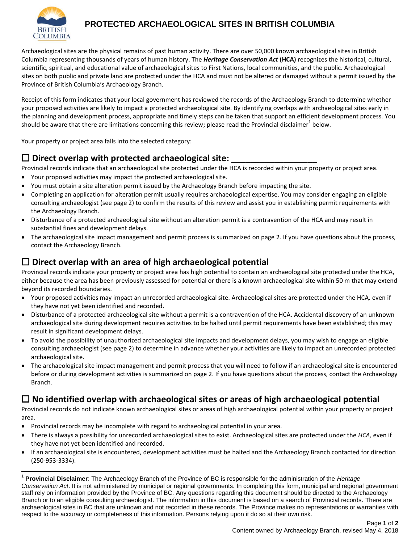

 $\overline{\phantom{a}}$ 

## **PROTECTED ARCHAEOLOGICAL SITES IN BRITISH COLUMBIA**

Archaeological sites are the physical remains of past human activity. There are over 50,000 known archaeological sites in British Columbia representing thousands of years of human history. The *Heritage Conservation Act* **(HCA)** recognizes the historical, cultural, scientific, spiritual, and educational value of archaeological sites to First Nations, local communities, and the public. Archaeological sites on both public and private land are protected under the HCA and must not be altered or damaged without a permit issued by the Province of British Columbia's Archaeology Branch.

Receipt of this form indicates that your local government has reviewed the records of the Archaeology Branch to determine whether your proposed activities are likely to impact a protected archaeological site. By identifying overlaps with archaeological sites early in the planning and development process, appropriate and timely steps can be taken that support an efficient development process. You should be aware that there are limitations concerning this review; please read the Provincial disclaimer $^{\text{1}}$  below.

Your property or project area falls into the selected category:

# **Direct overlap with protected archaeological site: \_\_\_\_\_\_\_\_\_\_\_\_\_\_\_\_\_\_**

Provincial records indicate that an archaeological site protected under the HCA is recorded within your property or project area.

- Your proposed activities may impact the protected archaeological site.
- You must obtain a site alteration permit issued by the Archaeology Branch before impacting the site.
- Completing an application for alteration permit usually requires archaeological expertise. You may consider engaging an eligible consulting archaeologist (see page 2) to confirm the results of this review and assist you in establishing permit requirements with the Archaeology Branch.
- Disturbance of a protected archaeological site without an alteration permit is a contravention of the HCA and may result in substantial fines and development delays.
- The archaeological site impact management and permit process is summarized on page 2. If you have questions about the process, contact the Archaeology Branch.

## **Direct overlap with an area of high archaeological potential**

Provincial records indicate your property or project area has high potential to contain an archaeological site protected under the HCA, either because the area has been previously assessed for potential or there is a known archaeological site within 50 m that may extend beyond its recorded boundaries.

- Your proposed activities may impact an unrecorded archaeological site. Archaeological sites are protected under the HCA*,* even if they have not yet been identified and recorded.
- Disturbance of a protected archaeological site without a permit is a contravention of the HCA. Accidental discovery of an unknown archaeological site during development requires activities to be halted until permit requirements have been established; this may result in significant development delays.
- To avoid the possibility of unauthorized archaeological site impacts and development delays, you may wish to engage an eligible consulting archaeologist (see page 2) to determine in advance whether your activities are likely to impact an unrecorded protected archaeological site.
- The archaeological site impact management and permit process that you will need to follow if an archaeological site is encountered before or during development activities is summarized on page 2. If you have questions about the process, contact the Archaeology Branch.

# **No identified overlap with archaeological sites or areas of high archaeological potential**

Provincial records do not indicate known archaeological sites or areas of high archaeological potential within your property or project area.

- Provincial records may be incomplete with regard to archaeological potential in your area.
- There is always a possibility for unrecorded archaeological sites to exist. Archaeological sites are protected under the *HCA,* even if they have not yet been identified and recorded.
- If an archaeological site is encountered, development activities must be halted and the Archaeology Branch contacted for direction (250-953-3334).

<sup>1</sup> **Provincial Disclaimer**: The Archaeology Branch of the Province of BC is responsible for the administration of the *Heritage Conservation Act*. It is not administered by municipal or regional governments. In completing this form, municipal and regional government staff rely on information provided by the Province of BC. Any questions regarding this document should be directed to the Archaeology Branch or to an eligible consulting archaeologist. The information in this document is based on a search of Provincial records. There are archaeological sites in BC that are unknown and not recorded in these records. The Province makes no representations or warranties with respect to the accuracy or completeness of this information. Persons relying upon it do so at their own risk.